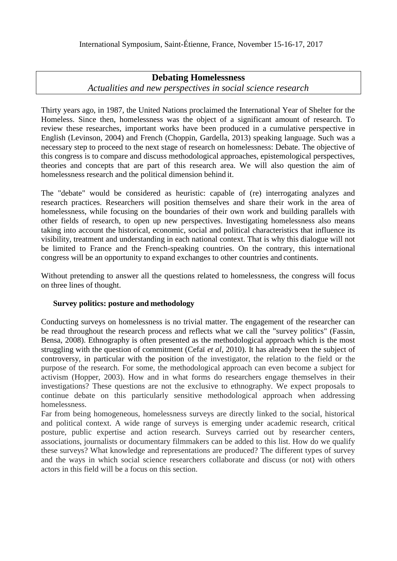# **Debating Homelessness**

*Actualities and new perspectives in social science research*

Thirty years ago, in 1987, the United Nations proclaimed the International Year of Shelter for the Homeless. Since then, homelessness was the object of a significant amount of research. To review these researches, important works have been produced in a cumulative perspective in English (Levinson, 2004) and French (Choppin, Gardella, 2013) speaking language. Such was a necessary step to proceed to the next stage of research on homelessness: Debate. The objective of this congress is to compare and discuss methodological approaches, epistemological perspectives, theories and concepts that are part of this research area. We will also question the aim of homelessness research and the political dimension behind it.

The "debate" would be considered as heuristic: capable of (re) interrogating analyzes and research practices. Researchers will position themselves and share their work in the area of homelessness, while focusing on the boundaries of their own work and building parallels with other fields of research, to open up new perspectives. Investigating homelessness also means taking into account the historical, economic, social and political characteristics that influence its visibility, treatment and understanding in each national context. That is why this dialogue will not be limited to France and the French-speaking countries. On the contrary, this international congress will be an opportunity to expand exchanges to other countries and continents.

Without pretending to answer all the questions related to homelessness, the congress will focus on three lines of thought.

# **Survey politics: posture and methodology**

Conducting surveys on homelessness is no trivial matter. The engagement of the researcher can be read throughout the research process and reflects what we call the "survey politics" (Fassin, Bensa, 2008). Ethnography is often presented as the methodological approach which is the most struggling with the question of commitment (Cefaï *et al*, 2010). It has already been the subject of controversy, in particular with the position of the investigator, the relation to the field or the purpose of the research. For some, the methodological approach can even become a subject for activism (Hopper, 2003). How and in what forms do researchers engage themselves in their investigations? These questions are not the exclusive to ethnography. We expect proposals to continue debate on this particularly sensitive methodological approach when addressing homelessness.

Far from being homogeneous, homelessness surveys are directly linked to the social, historical and political context. A wide range of surveys is emerging under academic research, critical posture, public expertise and action research. Surveys carried out by researcher centers, associations, journalists or documentary filmmakers can be added to this list. How do we qualify these surveys? What knowledge and representations are produced? The different types of survey and the ways in which social science researchers collaborate and discuss (or not) with others actors in this field will be a focus on this section.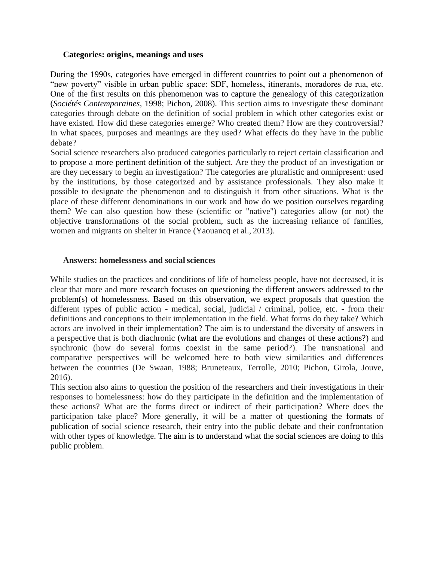#### <span id="page-1-0"></span>**Categories: origins, meanings and uses**

During the 1990s, categories have emerged in different countries to point out a phenomenon of "new poverty" visible in urban public space: SDF, homeless, itinerants, moradores de rua, etc. One of the first results on this phenomenon was to capture the genealogy of this categorization (*Sociétés Contemporaines*, 1998; Pichon, 2008). This section aims to investigate these dominant categories through debate on the definition of social problem in which other categories exist or have existed. How did these categories emerge? Who created them? How are they controversial? In what spaces, purposes and meanings are they used? What effects do they have in the public debate?

Social science researchers also produced categories particularly to reject certain classification and to propose a more pertinent definition of the subject. Are they the product of an investigation or are they necessary to begin an investigation? The categories are pluralistic and omnipresent: used by the institutions, by those categorized and by assistance professionals. They also make it possible to designate the phenomenon and to distinguish it from other situations. What is the place of these different denominations in our work and how do we position ourselves regarding them? We can also question how these (scientific or "native") categories allow (or not) the objective transformations of the social problem, such as the increasing reliance of families, women and migrants on shelter in France (Yaouancq et al., 2013).

#### **Answers: homelessness and socialsciences**

While studies on the practices and conditions of life of homeless people, have not decreased, it is clear that more and more research focuses on questioning the different answers addressed to the problem(s) of homelessness. Based on this observation, we expect proposals that question the different types of public action - medical, social, judicial / criminal, police, etc. - from their definitions and conceptions to their implementation in the field. What forms do they take? Which actors are involved in their implementation? The aim is to understand the diversity of answers in a perspective that is both diachronic (what are the evolutions and changes of these actions?) and synchronic (how do several forms coexist in the same period?). The transnational and comparative perspectives will be welcomed here to both view similarities and differences between the countries (De Swaan, 1988; Bruneteaux, Terrolle, 2010; Pichon, Girola, Jouve, 2016).

This section also aims to question the position of the researchers and their investigations in their responses to homelessness: how do they participate in the definition and the implementation of these actions? What are the forms direct or indirect of their participation? Where does the participation take place? More generally, it will be a matter of questioning the formats of publication of social science research, their entry into the public debate and their confrontation with other types of knowledge. The aim is to understand what the social sciences are doing to this public problem.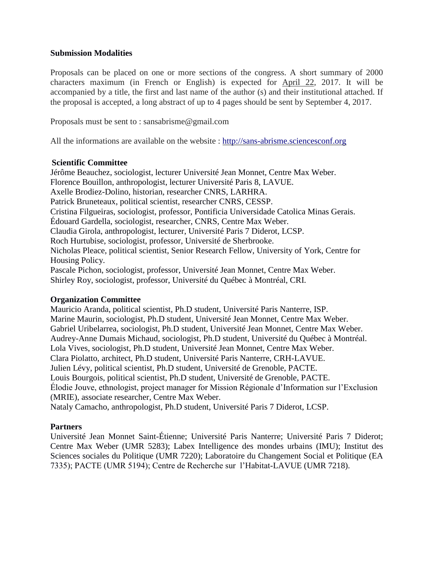# **Submission Modalities**

Proposals can be placed on one or more sections of the congress. A short summary of 2000 characters maximum (in French or English) is expected for April 22, 2017. It will be accompanied by a title, the first and last name of the author (s) and their institutional attached. If the proposal is accepted, a long abstract of up to 4 pages should be sent by September 4, 2017.

Proposals must be sent to : sansabrisme@gmail.com

All the informations are available on the website : [http://sans-abrisme.sciencesconf.org](#page-1-0)

#### **Scientific Committee**

Jérôme Beauchez, sociologist, lecturer Université Jean Monnet, Centre Max Weber. Florence Bouillon, anthropologist, lecturer Université Paris 8, LAVUE. Axelle Brodiez-Dolino, historian, researcher CNRS, LARHRA. Patrick Bruneteaux, political scientist, researcher CNRS, CESSP. Cristina Filgueiras, sociologist, professor, Pontificia Universidade Catolica Minas Gerais. Édouard Gardella, sociologist, researcher, CNRS, Centre Max Weber. Claudia Girola, anthropologist, lecturer, Université Paris 7 Diderot, LCSP. Roch Hurtubise, sociologist, professor, Université de Sherbrooke. Nicholas Pleace, political scientist, Senior Research Fellow, University of York, Centre for Housing Policy. Pascale Pichon, sociologist, professor, Université Jean Monnet, Centre Max Weber. Shirley Roy, sociologist, professor, Université du Québec à Montréal, CRI.

# **Organization Committee**

Mauricio Aranda, political scientist, Ph.D student, Université Paris Nanterre, ISP. Marine Maurin, sociologist, Ph.D student, Université Jean Monnet, Centre Max Weber. Gabriel Uribelarrea, sociologist, Ph.D student, Université Jean Monnet, Centre Max Weber. Audrey-Anne Dumais Michaud, sociologist, Ph.D student, Université du Québec à Montréal. Lola Vives, sociologist, Ph.D student, Université Jean Monnet, Centre Max Weber. Clara Piolatto, architect, Ph.D student, Université Paris Nanterre, CRH-LAVUE. Julien Lévy, political scientist, Ph.D student, Université de Grenoble, PACTE. Louis Bourgois, political scientist, Ph.D student, Université de Grenoble, PACTE. Élodie Jouve, ethnologist, project manager for Mission Régionale d'Information sur l'Exclusion (MRIE), associate researcher, Centre Max Weber. Nataly Camacho, anthropologist, Ph.D student, Université Paris 7 Diderot, LCSP.

# **Partners**

Université Jean Monnet Saint-Étienne; Université Paris Nanterre; Université Paris 7 Diderot; Centre Max Weber (UMR 5283); Labex Intelligence des mondes urbains (IMU); Institut des Sciences sociales du Politique (UMR 7220); Laboratoire du Changement Social et Politique (EA 7335); PACTE (UMR 5194); Centre de Recherche sur l'Habitat-LAVUE (UMR 7218).